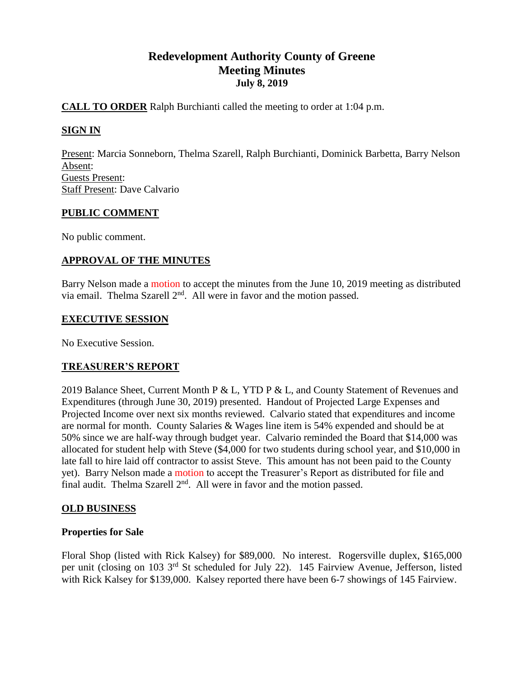# **Redevelopment Authority County of Greene Meeting Minutes July 8, 2019**

# **CALL TO ORDER** Ralph Burchianti called the meeting to order at 1:04 p.m.

# **SIGN IN**

Present: Marcia Sonneborn, Thelma Szarell, Ralph Burchianti, Dominick Barbetta, Barry Nelson Absent: Guests Present: Staff Present: Dave Calvario

## **PUBLIC COMMENT**

No public comment.

## **APPROVAL OF THE MINUTES**

Barry Nelson made a motion to accept the minutes from the June 10, 2019 meeting as distributed via email. Thelma Szarell  $2<sup>nd</sup>$ . All were in favor and the motion passed.

#### **EXECUTIVE SESSION**

No Executive Session.

## **TREASURER'S REPORT**

2019 Balance Sheet, Current Month P & L, YTD P & L, and County Statement of Revenues and Expenditures (through June 30, 2019) presented. Handout of Projected Large Expenses and Projected Income over next six months reviewed. Calvario stated that expenditures and income are normal for month. County Salaries & Wages line item is 54% expended and should be at 50% since we are half-way through budget year. Calvario reminded the Board that \$14,000 was allocated for student help with Steve (\$4,000 for two students during school year, and \$10,000 in late fall to hire laid off contractor to assist Steve. This amount has not been paid to the County yet). Barry Nelson made a motion to accept the Treasurer's Report as distributed for file and final audit. Thelma Szarell  $2<sup>nd</sup>$ . All were in favor and the motion passed.

## **OLD BUSINESS**

## **Properties for Sale**

Floral Shop (listed with Rick Kalsey) for \$89,000. No interest. Rogersville duplex, \$165,000 per unit (closing on 103 3rd St scheduled for July 22). 145 Fairview Avenue, Jefferson, listed with Rick Kalsey for \$139,000. Kalsey reported there have been 6-7 showings of 145 Fairview.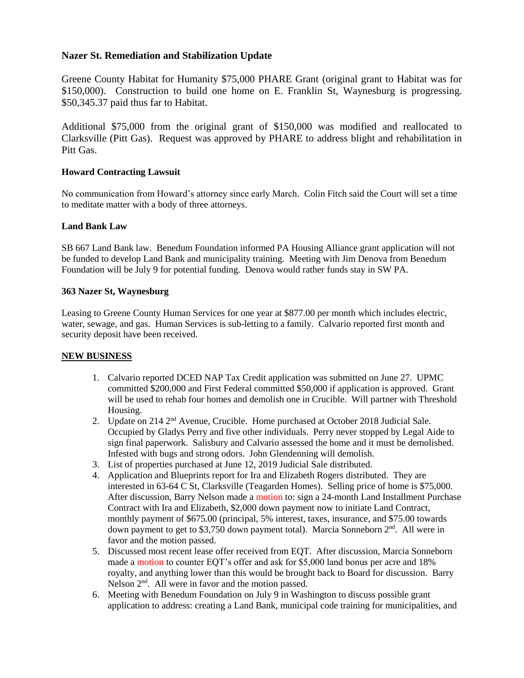#### **Nazer St. Remediation and Stabilization Update**

Greene County Habitat for Humanity \$75,000 PHARE Grant (original grant to Habitat was for \$150,000). Construction to build one home on E. Franklin St, Waynesburg is progressing. \$50,345.37 paid thus far to Habitat.

Additional \$75,000 from the original grant of \$150,000 was modified and reallocated to Clarksville (Pitt Gas). Request was approved by PHARE to address blight and rehabilitation in Pitt Gas.

#### **Howard Contracting Lawsuit**

No communication from Howard's attorney since early March. Colin Fitch said the Court will set a time to meditate matter with a body of three attorneys.

#### **Land Bank Law**

SB 667 Land Bank law. Benedum Foundation informed PA Housing Alliance grant application will not be funded to develop Land Bank and municipality training. Meeting with Jim Denova from Benedum Foundation will be July 9 for potential funding. Denova would rather funds stay in SW PA.

#### **363 Nazer St, Waynesburg**

Leasing to Greene County Human Services for one year at \$877.00 per month which includes electric, water, sewage, and gas. Human Services is sub-letting to a family. Calvario reported first month and security deposit have been received.

#### **NEW BUSINESS**

- 1. Calvario reported DCED NAP Tax Credit application was submitted on June 27. UPMC committed \$200,000 and First Federal committed \$50,000 if application is approved. Grant will be used to rehab four homes and demolish one in Crucible. Will partner with Threshold Housing.
- 2. Update on 214 2<sup>nd</sup> Avenue, Crucible. Home purchased at October 2018 Judicial Sale. Occupied by Gladys Perry and five other individuals. Perry never stopped by Legal Aide to sign final paperwork. Salisbury and Calvario assessed the home and it must be demolished. Infested with bugs and strong odors. John Glendenning will demolish.
- 3. List of properties purchased at June 12, 2019 Judicial Sale distributed.
- 4. Application and Blueprints report for Ira and Elizabeth Rogers distributed. They are interested in 63-64 C St, Clarksville (Teagarden Homes). Selling price of home is \$75,000. After discussion, Barry Nelson made a motion to: sign a 24-month Land Installment Purchase Contract with Ira and Elizabeth, \$2,000 down payment now to initiate Land Contract, monthly payment of \$675.00 (principal, 5% interest, taxes, insurance, and \$75.00 towards down payment to get to \$3,750 down payment total). Marcia Sonneborn 2<sup>nd</sup>. All were in favor and the motion passed.
- 5. Discussed most recent lease offer received from EQT. After discussion, Marcia Sonneborn made a motion to counter EQT's offer and ask for \$5,000 land bonus per acre and 18% royalty, and anything lower than this would be brought back to Board for discussion. Barry Nelson  $2<sup>nd</sup>$ . All were in favor and the motion passed.
- 6. Meeting with Benedum Foundation on July 9 in Washington to discuss possible grant application to address: creating a Land Bank, municipal code training for municipalities, and